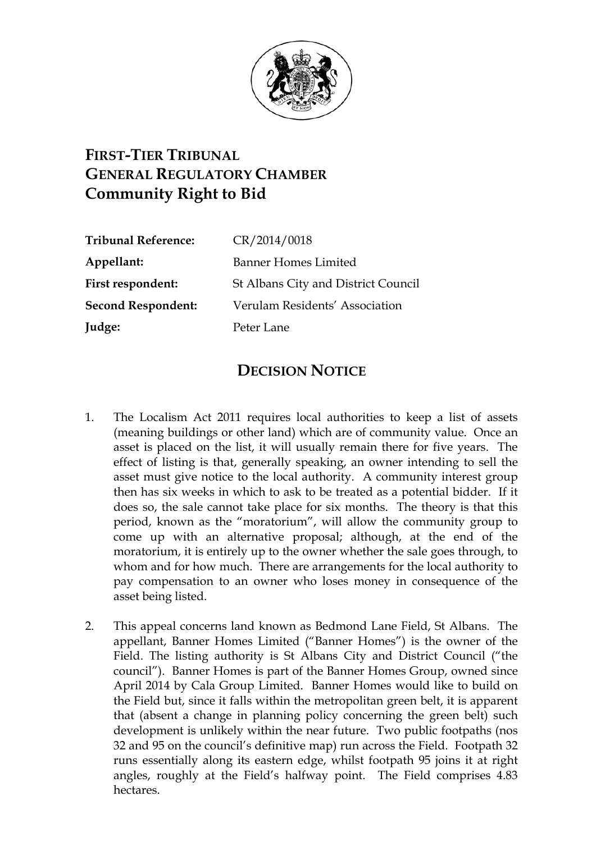

## **FIRST-TIER TRIBUNAL GENERAL REGULATORY CHAMBER Community Right to Bid**

| <b>Tribunal Reference:</b> | CR/2014/0018                        |
|----------------------------|-------------------------------------|
| Appellant:                 | <b>Banner Homes Limited</b>         |
| First respondent:          | St Albans City and District Council |
| <b>Second Respondent:</b>  | Verulam Residents' Association      |
| Judge:                     | Peter Lane                          |
|                            |                                     |

## **DECISION NOTICE**

- 1. The Localism Act 2011 requires local authorities to keep a list of assets (meaning buildings or other land) which are of community value. Once an asset is placed on the list, it will usually remain there for five years. The effect of listing is that, generally speaking, an owner intending to sell the asset must give notice to the local authority. A community interest group then has six weeks in which to ask to be treated as a potential bidder. If it does so, the sale cannot take place for six months. The theory is that this period, known as the "moratorium", will allow the community group to come up with an alternative proposal; although, at the end of the moratorium, it is entirely up to the owner whether the sale goes through, to whom and for how much. There are arrangements for the local authority to pay compensation to an owner who loses money in consequence of the asset being listed.
- 2. This appeal concerns land known as Bedmond Lane Field, St Albans. The appellant, Banner Homes Limited ("Banner Homes") is the owner of the Field. The listing authority is St Albans City and District Council ("the council"). Banner Homes is part of the Banner Homes Group, owned since April 2014 by Cala Group Limited. Banner Homes would like to build on the Field but, since it falls within the metropolitan green belt, it is apparent that (absent a change in planning policy concerning the green belt) such development is unlikely within the near future. Two public footpaths (nos 32 and 95 on the council's definitive map) run across the Field. Footpath 32 runs essentially along its eastern edge, whilst footpath 95 joins it at right angles, roughly at the Field's halfway point. The Field comprises 4.83 hectares.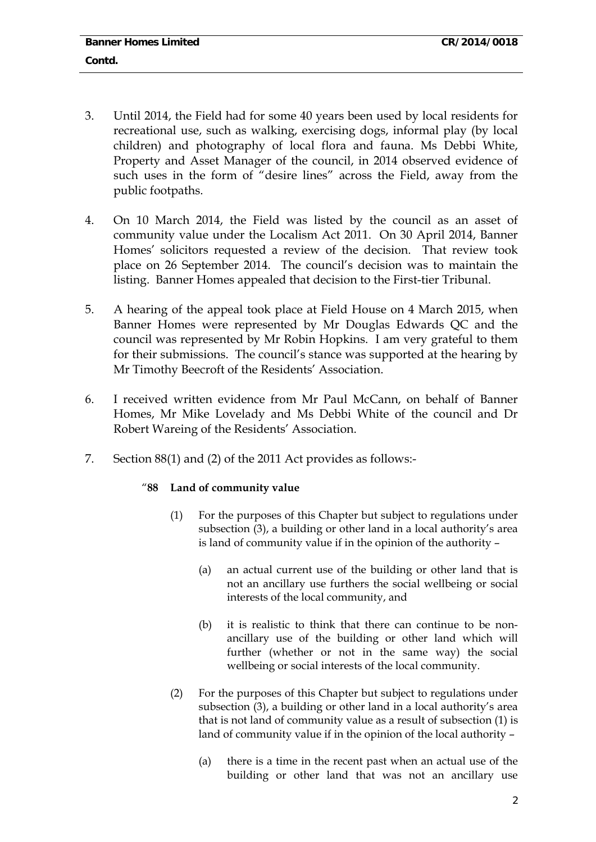- 3. Until 2014, the Field had for some 40 years been used by local residents for recreational use, such as walking, exercising dogs, informal play (by local children) and photography of local flora and fauna. Ms Debbi White, Property and Asset Manager of the council, in 2014 observed evidence of such uses in the form of "desire lines" across the Field, away from the public footpaths.
- 4. On 10 March 2014, the Field was listed by the council as an asset of community value under the Localism Act 2011. On 30 April 2014, Banner Homes' solicitors requested a review of the decision. That review took place on 26 September 2014. The council's decision was to maintain the listing. Banner Homes appealed that decision to the First-tier Tribunal.
- 5. A hearing of the appeal took place at Field House on 4 March 2015, when Banner Homes were represented by Mr Douglas Edwards QC and the council was represented by Mr Robin Hopkins. I am very grateful to them for their submissions. The council's stance was supported at the hearing by Mr Timothy Beecroft of the Residents' Association.
- 6. I received written evidence from Mr Paul McCann, on behalf of Banner Homes, Mr Mike Lovelady and Ms Debbi White of the council and Dr Robert Wareing of the Residents' Association.
- 7. Section 88(1) and (2) of the 2011 Act provides as follows:-

## "**88 Land of community value**

- (1) For the purposes of this Chapter but subject to regulations under subsection (3), a building or other land in a local authority's area is land of community value if in the opinion of the authority –
	- (a) an actual current use of the building or other land that is not an ancillary use furthers the social wellbeing or social interests of the local community, and
	- (b) it is realistic to think that there can continue to be nonancillary use of the building or other land which will further (whether or not in the same way) the social wellbeing or social interests of the local community.
- (2) For the purposes of this Chapter but subject to regulations under subsection (3), a building or other land in a local authority's area that is not land of community value as a result of subsection (1) is land of community value if in the opinion of the local authority –
	- (a) there is a time in the recent past when an actual use of the building or other land that was not an ancillary use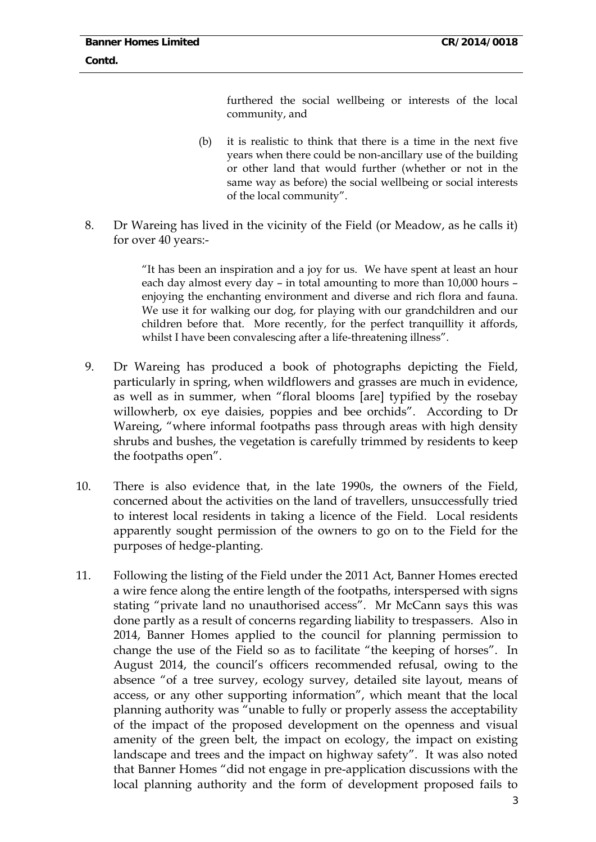furthered the social wellbeing or interests of the local community, and

- (b) it is realistic to think that there is a time in the next five years when there could be non-ancillary use of the building or other land that would further (whether or not in the same way as before) the social wellbeing or social interests of the local community".
- 8. Dr Wareing has lived in the vicinity of the Field (or Meadow, as he calls it) for over 40 years:-

"It has been an inspiration and a joy for us. We have spent at least an hour each day almost every day – in total amounting to more than 10,000 hours – enjoying the enchanting environment and diverse and rich flora and fauna. We use it for walking our dog, for playing with our grandchildren and our children before that. More recently, for the perfect tranquillity it affords, whilst I have been convalescing after a life-threatening illness".

- 9. Dr Wareing has produced a book of photographs depicting the Field, particularly in spring, when wildflowers and grasses are much in evidence, as well as in summer, when "floral blooms [are] typified by the rosebay willowherb, ox eye daisies, poppies and bee orchids". According to Dr Wareing, "where informal footpaths pass through areas with high density shrubs and bushes, the vegetation is carefully trimmed by residents to keep the footpaths open".
- 10. There is also evidence that, in the late 1990s, the owners of the Field, concerned about the activities on the land of travellers, unsuccessfully tried to interest local residents in taking a licence of the Field. Local residents apparently sought permission of the owners to go on to the Field for the purposes of hedge-planting.
- 11. Following the listing of the Field under the 2011 Act, Banner Homes erected a wire fence along the entire length of the footpaths, interspersed with signs stating "private land no unauthorised access". Mr McCann says this was done partly as a result of concerns regarding liability to trespassers. Also in 2014, Banner Homes applied to the council for planning permission to change the use of the Field so as to facilitate "the keeping of horses". In August 2014, the council's officers recommended refusal, owing to the absence "of a tree survey, ecology survey, detailed site layout, means of access, or any other supporting information", which meant that the local planning authority was "unable to fully or properly assess the acceptability of the impact of the proposed development on the openness and visual amenity of the green belt, the impact on ecology, the impact on existing landscape and trees and the impact on highway safety". It was also noted that Banner Homes "did not engage in pre-application discussions with the local planning authority and the form of development proposed fails to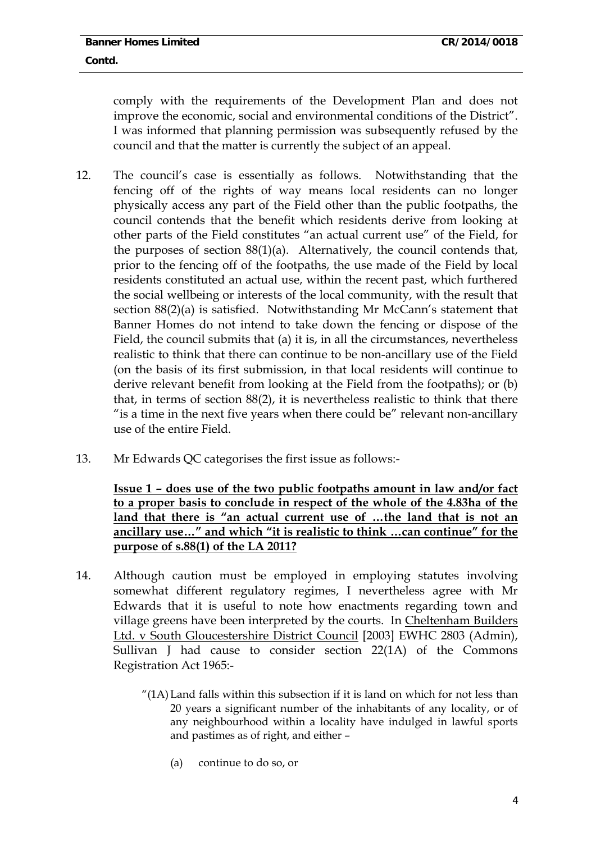comply with the requirements of the Development Plan and does not improve the economic, social and environmental conditions of the District". I was informed that planning permission was subsequently refused by the council and that the matter is currently the subject of an appeal.

- 12. The council's case is essentially as follows. Notwithstanding that the fencing off of the rights of way means local residents can no longer physically access any part of the Field other than the public footpaths, the council contends that the benefit which residents derive from looking at other parts of the Field constitutes "an actual current use" of the Field, for the purposes of section 88(1)(a). Alternatively, the council contends that, prior to the fencing off of the footpaths, the use made of the Field by local residents constituted an actual use, within the recent past, which furthered the social wellbeing or interests of the local community, with the result that section 88(2)(a) is satisfied. Notwithstanding Mr McCann's statement that Banner Homes do not intend to take down the fencing or dispose of the Field, the council submits that (a) it is, in all the circumstances, nevertheless realistic to think that there can continue to be non-ancillary use of the Field (on the basis of its first submission, in that local residents will continue to derive relevant benefit from looking at the Field from the footpaths); or (b) that, in terms of section 88(2), it is nevertheless realistic to think that there "is a time in the next five years when there could be" relevant non-ancillary use of the entire Field.
- 13. Mr Edwards QC categorises the first issue as follows:-

**Issue 1 – does use of the two public footpaths amount in law and/or fact to a proper basis to conclude in respect of the whole of the 4.83ha of the land that there is "an actual current use of …the land that is not an ancillary use…" and which "it is realistic to think …can continue" for the purpose of s.88(1) of the LA 2011?**

- 14. Although caution must be employed in employing statutes involving somewhat different regulatory regimes, I nevertheless agree with Mr Edwards that it is useful to note how enactments regarding town and village greens have been interpreted by the courts. In Cheltenham Builders Ltd. v South Gloucestershire District Council [2003] EWHC 2803 (Admin), Sullivan J had cause to consider section 22(1A) of the Commons Registration Act 1965:-
	- "(1A) Land falls within this subsection if it is land on which for not less than 20 years a significant number of the inhabitants of any locality, or of any neighbourhood within a locality have indulged in lawful sports and pastimes as of right, and either –
		- (a) continue to do so, or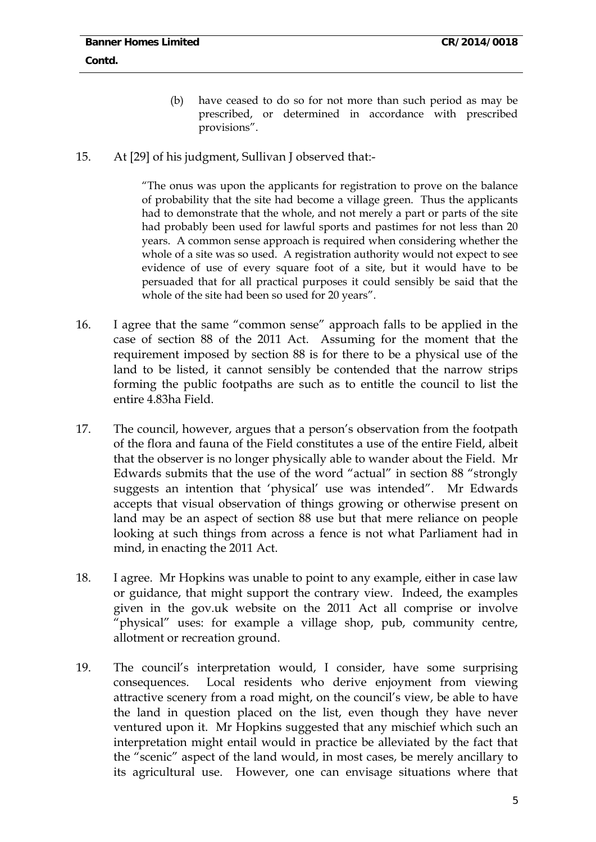- (b) have ceased to do so for not more than such period as may be prescribed, or determined in accordance with prescribed provisions".
- 15. At [29] of his judgment, Sullivan J observed that:-

"The onus was upon the applicants for registration to prove on the balance of probability that the site had become a village green. Thus the applicants had to demonstrate that the whole, and not merely a part or parts of the site had probably been used for lawful sports and pastimes for not less than 20 years. A common sense approach is required when considering whether the whole of a site was so used. A registration authority would not expect to see evidence of use of every square foot of a site, but it would have to be persuaded that for all practical purposes it could sensibly be said that the whole of the site had been so used for 20 years".

- 16. I agree that the same "common sense" approach falls to be applied in the case of section 88 of the 2011 Act. Assuming for the moment that the requirement imposed by section 88 is for there to be a physical use of the land to be listed, it cannot sensibly be contended that the narrow strips forming the public footpaths are such as to entitle the council to list the entire 4.83ha Field.
- 17. The council, however, argues that a person's observation from the footpath of the flora and fauna of the Field constitutes a use of the entire Field, albeit that the observer is no longer physically able to wander about the Field. Mr Edwards submits that the use of the word "actual" in section 88 "strongly suggests an intention that 'physical' use was intended". Mr Edwards accepts that visual observation of things growing or otherwise present on land may be an aspect of section 88 use but that mere reliance on people looking at such things from across a fence is not what Parliament had in mind, in enacting the 2011 Act.
- 18. I agree. Mr Hopkins was unable to point to any example, either in case law or guidance, that might support the contrary view. Indeed, the examples given in the gov.uk website on the 2011 Act all comprise or involve "physical" uses: for example a village shop, pub, community centre, allotment or recreation ground.
- 19. The council's interpretation would, I consider, have some surprising consequences. Local residents who derive enjoyment from viewing attractive scenery from a road might, on the council's view, be able to have the land in question placed on the list, even though they have never ventured upon it. Mr Hopkins suggested that any mischief which such an interpretation might entail would in practice be alleviated by the fact that the "scenic" aspect of the land would, in most cases, be merely ancillary to its agricultural use. However, one can envisage situations where that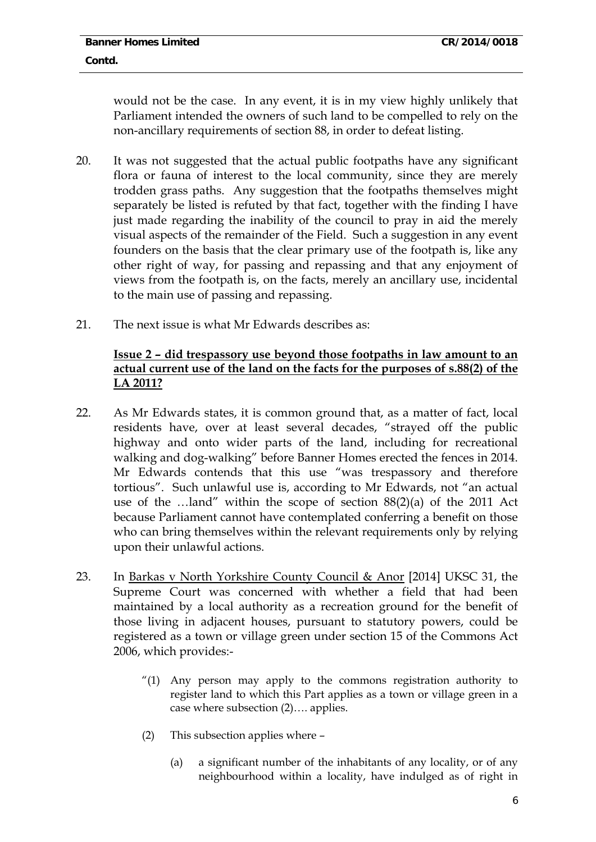would not be the case. In any event, it is in my view highly unlikely that Parliament intended the owners of such land to be compelled to rely on the non-ancillary requirements of section 88, in order to defeat listing.

- 20. It was not suggested that the actual public footpaths have any significant flora or fauna of interest to the local community, since they are merely trodden grass paths. Any suggestion that the footpaths themselves might separately be listed is refuted by that fact, together with the finding I have just made regarding the inability of the council to pray in aid the merely visual aspects of the remainder of the Field. Such a suggestion in any event founders on the basis that the clear primary use of the footpath is, like any other right of way, for passing and repassing and that any enjoyment of views from the footpath is, on the facts, merely an ancillary use, incidental to the main use of passing and repassing.
- 21. The next issue is what Mr Edwards describes as:

## **Issue 2 – did trespassory use beyond those footpaths in law amount to an actual current use of the land on the facts for the purposes of s.88(2) of the LA 2011?**

- 22. As Mr Edwards states, it is common ground that, as a matter of fact, local residents have, over at least several decades, "strayed off the public highway and onto wider parts of the land, including for recreational walking and dog-walking" before Banner Homes erected the fences in 2014. Mr Edwards contends that this use "was trespassory and therefore tortious". Such unlawful use is, according to Mr Edwards, not "an actual use of the …land" within the scope of section 88(2)(a) of the 2011 Act because Parliament cannot have contemplated conferring a benefit on those who can bring themselves within the relevant requirements only by relying upon their unlawful actions.
- 23. In Barkas v North Yorkshire County Council & Anor [2014] UKSC 31, the Supreme Court was concerned with whether a field that had been maintained by a local authority as a recreation ground for the benefit of those living in adjacent houses, pursuant to statutory powers, could be registered as a town or village green under section 15 of the Commons Act 2006, which provides:-
	- "(1) Any person may apply to the commons registration authority to register land to which this Part applies as a town or village green in a case where subsection (2)…. applies.
	- (2) This subsection applies where
		- (a) a significant number of the inhabitants of any locality, or of any neighbourhood within a locality, have indulged as of right in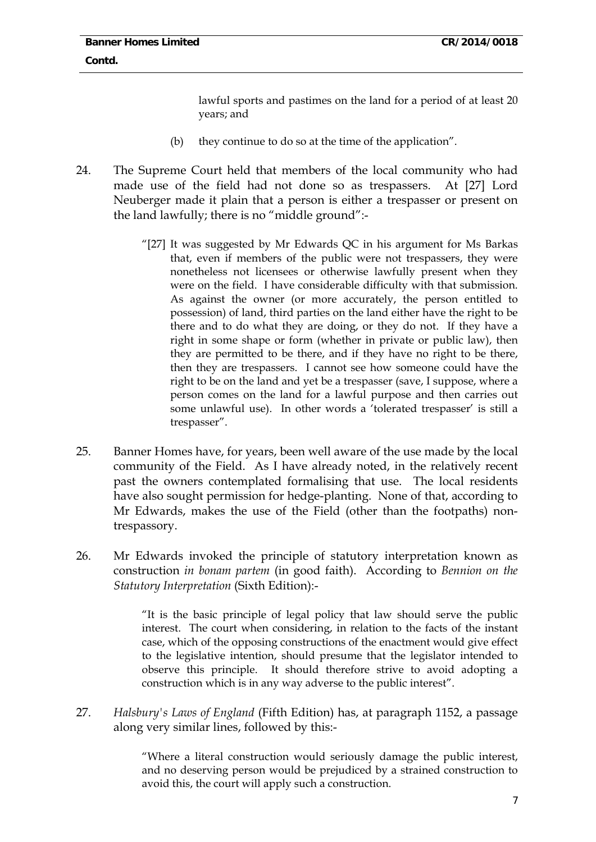lawful sports and pastimes on the land for a period of at least 20 years; and

- (b) they continue to do so at the time of the application".
- 24. The Supreme Court held that members of the local community who had made use of the field had not done so as trespassers. At [27] Lord Neuberger made it plain that a person is either a trespasser or present on the land lawfully; there is no "middle ground":-
	- "[27] It was suggested by Mr Edwards QC in his argument for Ms Barkas that, even if members of the public were not trespassers, they were nonetheless not licensees or otherwise lawfully present when they were on the field. I have considerable difficulty with that submission. As against the owner (or more accurately, the person entitled to possession) of land, third parties on the land either have the right to be there and to do what they are doing, or they do not. If they have a right in some shape or form (whether in private or public law), then they are permitted to be there, and if they have no right to be there, then they are trespassers. I cannot see how someone could have the right to be on the land and yet be a trespasser (save, I suppose, where a person comes on the land for a lawful purpose and then carries out some unlawful use). In other words a 'tolerated trespasser' is still a trespasser".
- 25. Banner Homes have, for years, been well aware of the use made by the local community of the Field. As I have already noted, in the relatively recent past the owners contemplated formalising that use. The local residents have also sought permission for hedge-planting. None of that, according to Mr Edwards, makes the use of the Field (other than the footpaths) nontrespassory.
- 26. Mr Edwards invoked the principle of statutory interpretation known as construction *in bonam partem* (in good faith). According to *Bennion on the Statutory Interpretation* (Sixth Edition):-

"It is the basic principle of legal policy that law should serve the public interest. The court when considering, in relation to the facts of the instant case, which of the opposing constructions of the enactment would give effect to the legislative intention, should presume that the legislator intended to observe this principle. It should therefore strive to avoid adopting a construction which is in any way adverse to the public interest".

27. *Halsbury's Laws of England* (Fifth Edition) has, at paragraph 1152, a passage along very similar lines, followed by this:-

> "Where a literal construction would seriously damage the public interest, and no deserving person would be prejudiced by a strained construction to avoid this, the court will apply such a construction.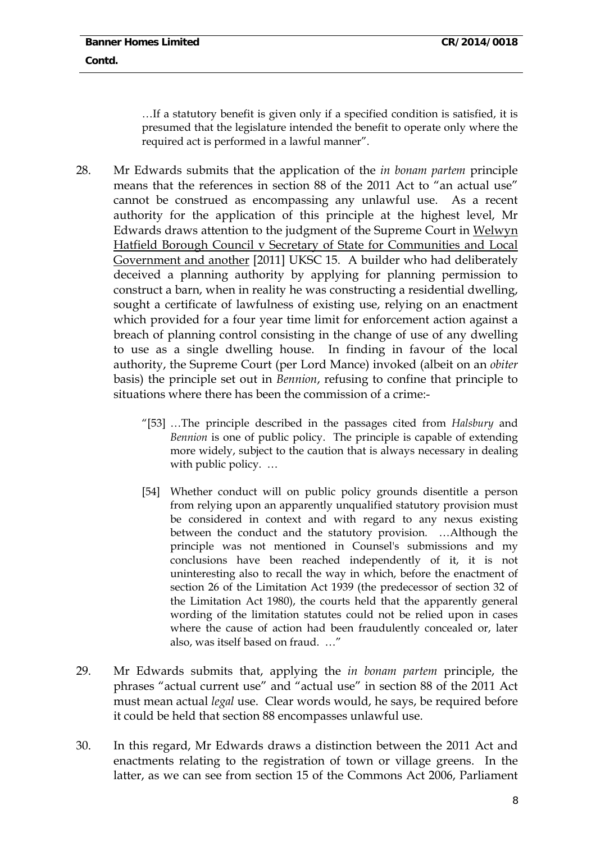…If a statutory benefit is given only if a specified condition is satisfied, it is presumed that the legislature intended the benefit to operate only where the required act is performed in a lawful manner".

- 28. Mr Edwards submits that the application of the *in bonam partem* principle means that the references in section 88 of the 2011 Act to "an actual use" cannot be construed as encompassing any unlawful use. As a recent authority for the application of this principle at the highest level, Mr Edwards draws attention to the judgment of the Supreme Court in Welwyn Hatfield Borough Council v Secretary of State for Communities and Local Government and another [2011] UKSC 15. A builder who had deliberately deceived a planning authority by applying for planning permission to construct a barn, when in reality he was constructing a residential dwelling, sought a certificate of lawfulness of existing use, relying on an enactment which provided for a four year time limit for enforcement action against a breach of planning control consisting in the change of use of any dwelling to use as a single dwelling house. In finding in favour of the local authority, the Supreme Court (per Lord Mance) invoked (albeit on an *obiter* basis) the principle set out in *Bennion*, refusing to confine that principle to situations where there has been the commission of a crime:-
	- "[53] …The principle described in the passages cited from *Halsbury* and *Bennion* is one of public policy. The principle is capable of extending more widely, subject to the caution that is always necessary in dealing with public policy. …
	- [54] Whether conduct will on public policy grounds disentitle a person from relying upon an apparently unqualified statutory provision must be considered in context and with regard to any nexus existing between the conduct and the statutory provision. …Although the principle was not mentioned in Counsel's submissions and my conclusions have been reached independently of it, it is not uninteresting also to recall the way in which, before the enactment of section 26 of the Limitation Act 1939 (the predecessor of section 32 of the Limitation Act 1980), the courts held that the apparently general wording of the limitation statutes could not be relied upon in cases where the cause of action had been fraudulently concealed or, later also, was itself based on fraud. …"
- 29. Mr Edwards submits that, applying the *in bonam partem* principle, the phrases "actual current use" and "actual use" in section 88 of the 2011 Act must mean actual *legal* use. Clear words would, he says, be required before it could be held that section 88 encompasses unlawful use.
- 30. In this regard, Mr Edwards draws a distinction between the 2011 Act and enactments relating to the registration of town or village greens. In the latter, as we can see from section 15 of the Commons Act 2006, Parliament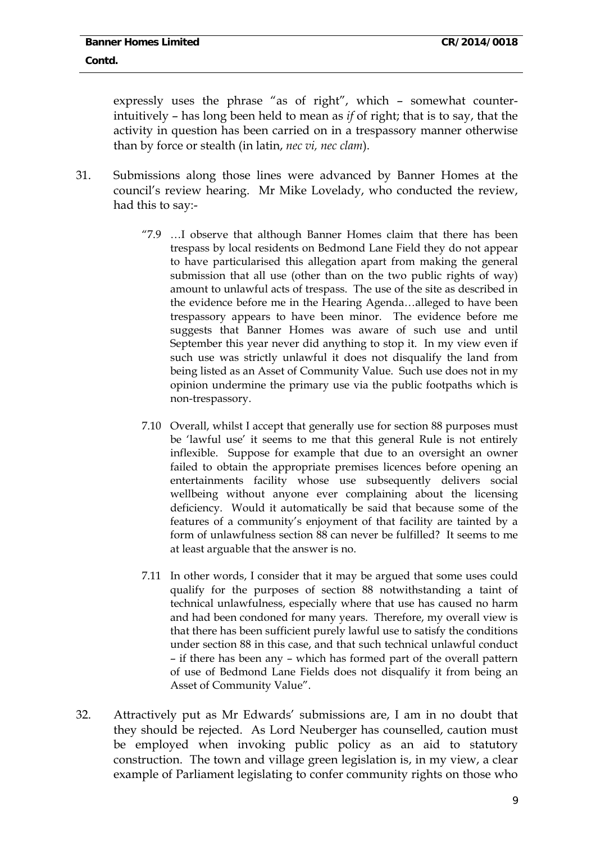expressly uses the phrase "as of right", which – somewhat counterintuitively – has long been held to mean as *if* of right; that is to say, that the activity in question has been carried on in a trespassory manner otherwise than by force or stealth (in latin, *nec vi, nec clam*).

- 31. Submissions along those lines were advanced by Banner Homes at the council's review hearing. Mr Mike Lovelady, who conducted the review, had this to say:-
	- "7.9 …I observe that although Banner Homes claim that there has been trespass by local residents on Bedmond Lane Field they do not appear to have particularised this allegation apart from making the general submission that all use (other than on the two public rights of way) amount to unlawful acts of trespass. The use of the site as described in the evidence before me in the Hearing Agenda…alleged to have been trespassory appears to have been minor. The evidence before me suggests that Banner Homes was aware of such use and until September this year never did anything to stop it. In my view even if such use was strictly unlawful it does not disqualify the land from being listed as an Asset of Community Value. Such use does not in my opinion undermine the primary use via the public footpaths which is non-trespassory.
	- 7.10 Overall, whilst I accept that generally use for section 88 purposes must be 'lawful use' it seems to me that this general Rule is not entirely inflexible. Suppose for example that due to an oversight an owner failed to obtain the appropriate premises licences before opening an entertainments facility whose use subsequently delivers social wellbeing without anyone ever complaining about the licensing deficiency. Would it automatically be said that because some of the features of a community's enjoyment of that facility are tainted by a form of unlawfulness section 88 can never be fulfilled? It seems to me at least arguable that the answer is no.
	- 7.11 In other words, I consider that it may be argued that some uses could qualify for the purposes of section 88 notwithstanding a taint of technical unlawfulness, especially where that use has caused no harm and had been condoned for many years. Therefore, my overall view is that there has been sufficient purely lawful use to satisfy the conditions under section 88 in this case, and that such technical unlawful conduct – if there has been any – which has formed part of the overall pattern of use of Bedmond Lane Fields does not disqualify it from being an Asset of Community Value".
- 32. Attractively put as Mr Edwards' submissions are, I am in no doubt that they should be rejected. As Lord Neuberger has counselled, caution must be employed when invoking public policy as an aid to statutory construction. The town and village green legislation is, in my view, a clear example of Parliament legislating to confer community rights on those who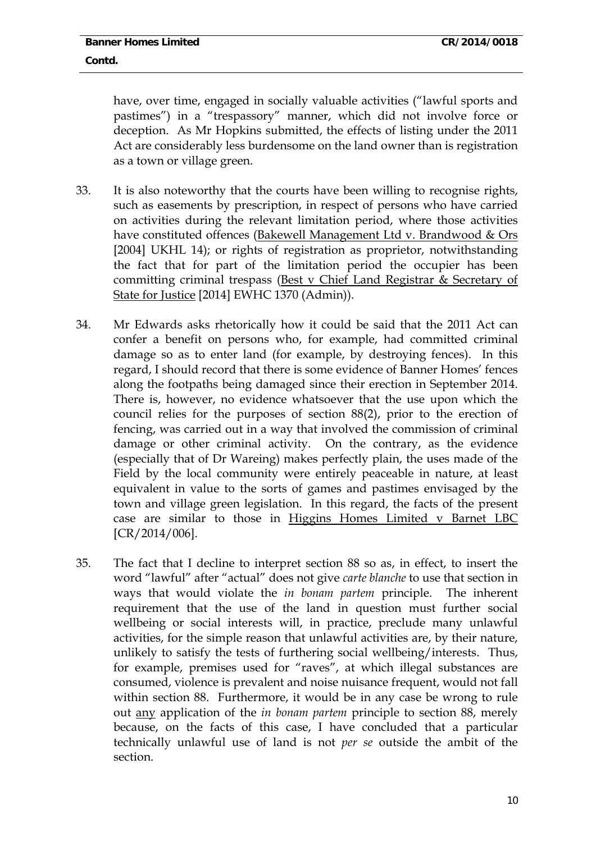have, over time, engaged in socially valuable activities ("lawful sports and pastimes") in a "trespassory" manner, which did not involve force or deception. As Mr Hopkins submitted, the effects of listing under the 2011 Act are considerably less burdensome on the land owner than is registration as a town or village green.

- 33. It is also noteworthy that the courts have been willing to recognise rights, such as easements by prescription, in respect of persons who have carried on activities during the relevant limitation period, where those activities have constituted offences (Bakewell Management Ltd v. Brandwood & Ors [2004] UKHL 14); or rights of registration as proprietor, notwithstanding the fact that for part of the limitation period the occupier has been committing criminal trespass (Best v Chief Land Registrar & Secretary of State for Justice [2014] EWHC 1370 (Admin)).
- 34. Mr Edwards asks rhetorically how it could be said that the 2011 Act can confer a benefit on persons who, for example, had committed criminal damage so as to enter land (for example, by destroying fences). In this regard, I should record that there is some evidence of Banner Homes' fences along the footpaths being damaged since their erection in September 2014. There is, however, no evidence whatsoever that the use upon which the council relies for the purposes of section 88(2), prior to the erection of fencing, was carried out in a way that involved the commission of criminal damage or other criminal activity. On the contrary, as the evidence (especially that of Dr Wareing) makes perfectly plain, the uses made of the Field by the local community were entirely peaceable in nature, at least equivalent in value to the sorts of games and pastimes envisaged by the town and village green legislation. In this regard, the facts of the present case are similar to those in Higgins Homes Limited v Barnet LBC [CR/2014/006].
- 35. The fact that I decline to interpret section 88 so as, in effect, to insert the word "lawful" after "actual" does not give *carte blanche* to use that section in ways that would violate the *in bonam partem* principle. The inherent requirement that the use of the land in question must further social wellbeing or social interests will, in practice, preclude many unlawful activities, for the simple reason that unlawful activities are, by their nature, unlikely to satisfy the tests of furthering social wellbeing/interests. Thus, for example, premises used for "raves", at which illegal substances are consumed, violence is prevalent and noise nuisance frequent, would not fall within section 88. Furthermore, it would be in any case be wrong to rule out any application of the *in bonam partem* principle to section 88, merely because, on the facts of this case, I have concluded that a particular technically unlawful use of land is not *per se* outside the ambit of the section.